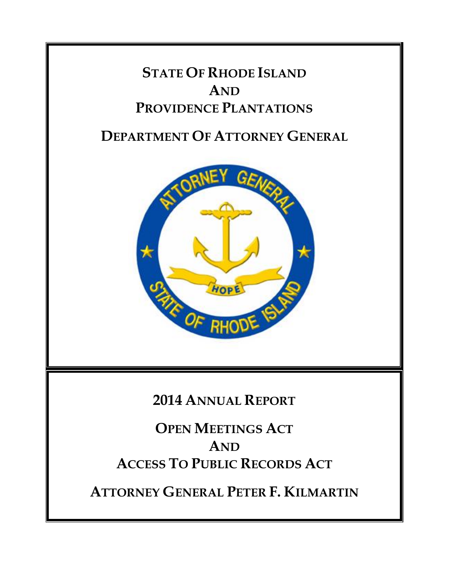## **STATE OF RHODE ISLAND AND PROVIDENCE PLANTATIONS**

### **DEPARTMENT OF ATTORNEY GENERAL**



### **2014 ANNUAL REPORT**

**OPEN MEETINGS ACT AND ACCESS TO PUBLIC RECORDS ACT**

**ATTORNEY GENERAL PETER F. KILMARTIN**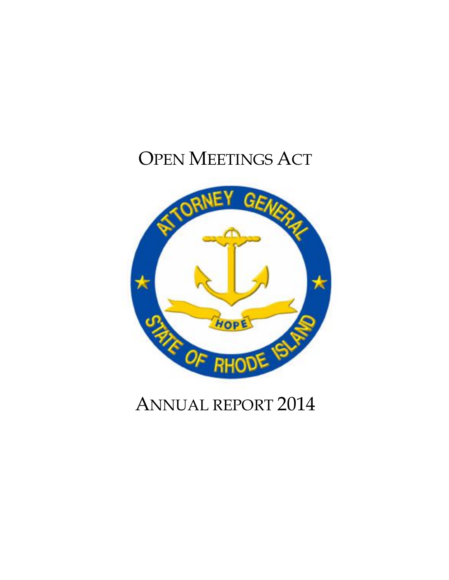# OPEN MEETINGS ACT



## ANNUAL REPORT 2014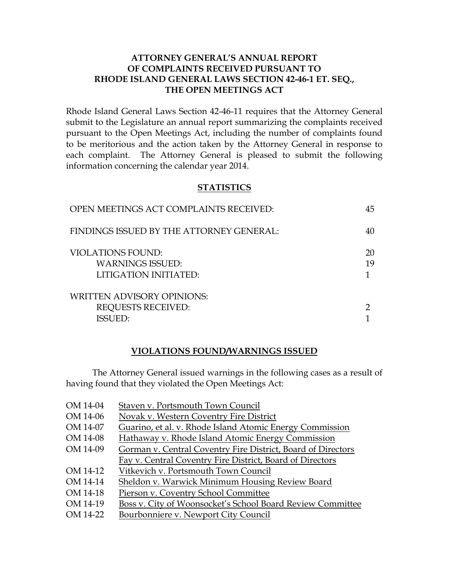#### **ATTORNEY GENERAL'S ANNUAL REPORT OF COMPLAINTS RECEIVED PURSUANT TO RHODE ISLAND GENERAL LAWS SECTION 42-46-1 ET. SEQ., THE OPEN MEETINGS ACT**

Rhode Island General Laws Section 42-46-11 requires that the Attorney General submit to the Legislature an annual report summarizing the complaints received pursuant to the Open Meetings Act, including the number of complaints found to be meritorious and the action taken by the Attorney General in response to each complaint. The Attorney General is pleased to submit the following information concerning the calendar year 2014.

#### **STATISTICS**

| OPEN MEETINGS ACT COMPLAINTS RECEIVED:                                           | 45       |
|----------------------------------------------------------------------------------|----------|
| FINDINGS ISSUED BY THE ATTORNEY GENERAL:                                         | 40       |
| <b>VIOLATIONS FOUND:</b><br><b>WARNINGS ISSUED:</b><br>LITIGATION INITIATED:     | 20<br>19 |
| <b>WRITTEN ADVISORY OPINIONS:</b><br><b>REQUESTS RECEIVED:</b><br><b>ISSUED:</b> |          |

#### **VIOLATIONS FOUND/WARNINGS ISSUED**

The Attorney General issued warnings in the following cases as a result of having found that they violated the Open Meetings Act:

| OM 14-04 | Staven v. Portsmouth Town Council                            |
|----------|--------------------------------------------------------------|
| OM 14-06 | Novak v. Western Coventry Fire District                      |
| OM 14-07 | Guarino, et al. v. Rhode Island Atomic Energy Commission     |
| OM 14-08 | Hathaway v. Rhode Island Atomic Energy Commission            |
| OM 14-09 | Gorman v. Central Coventry Fire District, Board of Directors |
|          | Fay v. Central Coventry Fire District, Board of Directors    |
| OM 14-12 | Vitkevich v. Portsmouth Town Council                         |
| OM 14-14 | Sheldon v. Warwick Minimum Housing Review Board              |
| OM 14-18 | Pierson v. Coventry School Committee                         |
| OM 14-19 | Boss v. City of Woonsocket's School Board Review Committee   |
| OM 14-22 | Bourbonniere v. Newport City Council                         |
|          |                                                              |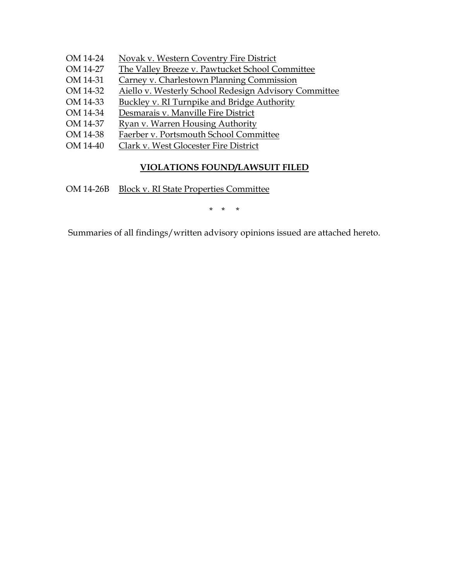- OM 14-24 Novak v. Western Coventry Fire District
- OM 14-27 The Valley Breeze v. Pawtucket School Committee
- OM 14-31 Carney v. Charlestown Planning Commission
- OM 14-32 Aiello v. Westerly School Redesign Advisory Committee
- OM 14-33 Buckley v. RI Turnpike and Bridge Authority
- OM 14-34 Desmarais v. Manville Fire District
- OM 14-37 Ryan v. Warren Housing Authority
- OM 14-38 Faerber v. Portsmouth School Committee
- OM 14-40 Clark v. West Glocester Fire District

#### **VIOLATIONS FOUND/LAWSUIT FILED**

OM 14-26B Block v. RI State Properties Committee

\* \* \*

Summaries of all findings/written advisory opinions issued are attached hereto.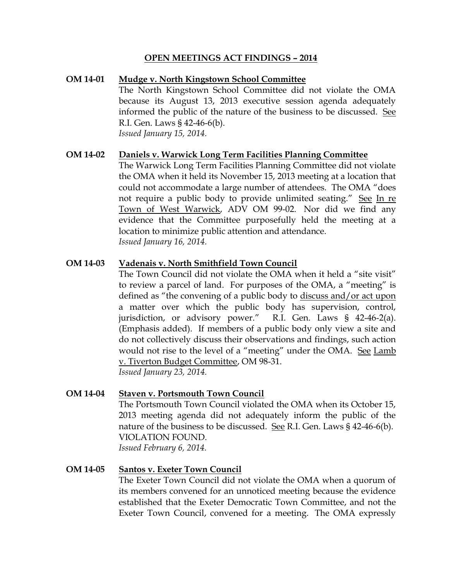#### **OPEN MEETINGS ACT FINDINGS – 2014**

#### **OM 14-01 Mudge v. North Kingstown School Committee** The North Kingstown School Committee did not violate the OMA because its August 13, 2013 executive session agenda adequately informed the public of the nature of the business to be discussed. See R.I. Gen. Laws § 42-46-6(b). *Issued January 15, 2014.*

#### **OM 14-02 Daniels v. Warwick Long Term Facilities Planning Committee**

The Warwick Long Term Facilities Planning Committee did not violate the OMA when it held its November 15, 2013 meeting at a location that could not accommodate a large number of attendees. The OMA "does not require a public body to provide unlimited seating." See In re Town of West Warwick, ADV OM 99-02. Nor did we find any evidence that the Committee purposefully held the meeting at a location to minimize public attention and attendance. *Issued January 16, 2014.*

#### **OM 14-03 Vadenais v. North Smithfield Town Council**

The Town Council did not violate the OMA when it held a "site visit" to review a parcel of land. For purposes of the OMA, a "meeting" is defined as "the convening of a public body to discuss and/or act upon a matter over which the public body has supervision, control, jurisdiction, or advisory power." R.I. Gen. Laws § 42-46-2(a). (Emphasis added). If members of a public body only view a site and do not collectively discuss their observations and findings, such action would not rise to the level of a "meeting" under the OMA. See Lamb v. Tiverton Budget Committee, OM 98-31.

*Issued January 23, 2014.*

#### **OM 14-04 Staven v. Portsmouth Town Council**

The Portsmouth Town Council violated the OMA when its October 15, 2013 meeting agenda did not adequately inform the public of the nature of the business to be discussed. See R.I. Gen. Laws  $\S$  42-46-6(b). VIOLATION FOUND. *Issued February 6, 2014.*

#### **OM 14-05 Santos v. Exeter Town Council**

The Exeter Town Council did not violate the OMA when a quorum of its members convened for an unnoticed meeting because the evidence established that the Exeter Democratic Town Committee, and not the Exeter Town Council, convened for a meeting. The OMA expressly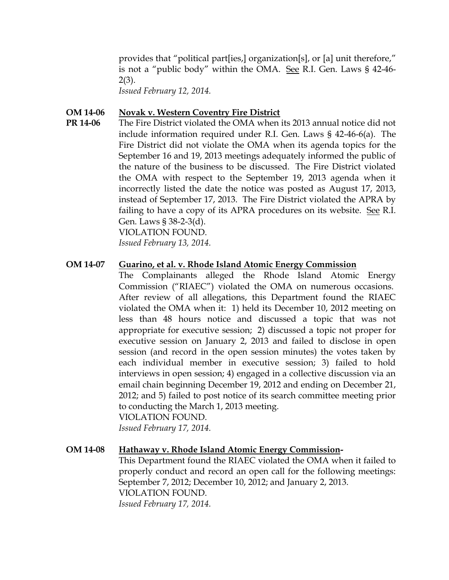provides that "political part[ies,] organization[s], or [a] unit therefore," is not a "public body" within the OMA. See R.I. Gen. Laws § 42-46- 2(3).

*Issued February 12, 2014.*

#### **OM 14-06 Novak v. Western Coventry Fire District**

**PR 14-06** The Fire District violated the OMA when its 2013 annual notice did not include information required under R.I. Gen. Laws § 42-46-6(a). The Fire District did not violate the OMA when its agenda topics for the September 16 and 19, 2013 meetings adequately informed the public of the nature of the business to be discussed. The Fire District violated the OMA with respect to the September 19, 2013 agenda when it incorrectly listed the date the notice was posted as August 17, 2013, instead of September 17, 2013. The Fire District violated the APRA by failing to have a copy of its APRA procedures on its website. See R.I. Gen. Laws § 38-2-3(d).

VIOLATION FOUND.

*Issued February 13, 2014.*

#### **OM 14-07 Guarino, et al. v. Rhode Island Atomic Energy Commission**

The Complainants alleged the Rhode Island Atomic Energy Commission ("RIAEC") violated the OMA on numerous occasions. After review of all allegations, this Department found the RIAEC violated the OMA when it: 1) held its December 10, 2012 meeting on less than 48 hours notice and discussed a topic that was not appropriate for executive session; 2) discussed a topic not proper for executive session on January 2, 2013 and failed to disclose in open session (and record in the open session minutes) the votes taken by each individual member in executive session; 3) failed to hold interviews in open session; 4) engaged in a collective discussion via an email chain beginning December 19, 2012 and ending on December 21, 2012; and 5) failed to post notice of its search committee meeting prior to conducting the March 1, 2013 meeting.

VIOLATION FOUND. *Issued February 17, 2014.*

#### **OM 14-08 Hathaway v. Rhode Island Atomic Energy Commission-**

This Department found the RIAEC violated the OMA when it failed to properly conduct and record an open call for the following meetings: September 7, 2012; December 10, 2012; and January 2, 2013. VIOLATION FOUND. *Issued February 17, 2014.*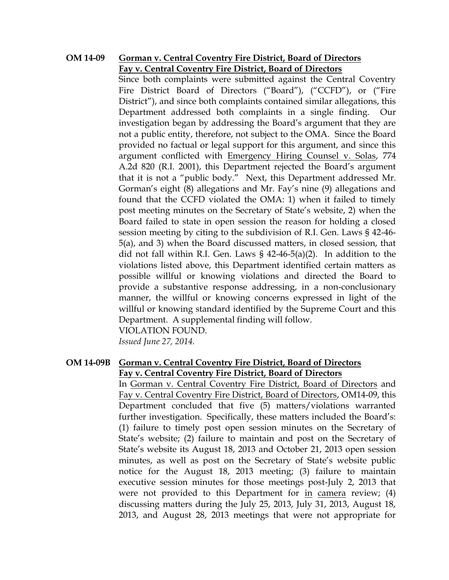#### **OM 14-09 Gorman v. Central Coventry Fire District, Board of Directors Fay v. Central Coventry Fire District, Board of Directors**

Since both complaints were submitted against the Central Coventry Fire District Board of Directors ("Board"), ("CCFD"), or ("Fire District"), and since both complaints contained similar allegations, this Department addressed both complaints in a single finding. Our investigation began by addressing the Board's argument that they are not a public entity, therefore, not subject to the OMA. Since the Board provided no factual or legal support for this argument, and since this argument conflicted with Emergency Hiring Counsel v. Solas, 774 A.2d 820 (R.I. 2001), this Department rejected the Board's argument that it is not a "public body." Next, this Department addressed Mr. Gorman's eight (8) allegations and Mr. Fay's nine (9) allegations and found that the CCFD violated the OMA: 1) when it failed to timely post meeting minutes on the Secretary of State's website, 2) when the Board failed to state in open session the reason for holding a closed session meeting by citing to the subdivision of R.I. Gen. Laws § 42-46- 5(a), and 3) when the Board discussed matters, in closed session, that did not fall within R.I. Gen. Laws § 42-46-5(a)(2). In addition to the violations listed above, this Department identified certain matters as possible willful or knowing violations and directed the Board to provide a substantive response addressing, in a non-conclusionary manner, the willful or knowing concerns expressed in light of the willful or knowing standard identified by the Supreme Court and this Department. A supplemental finding will follow. VIOLATION FOUND.

*Issued June 27, 2014.*

#### **OM 14-09B Gorman v. Central Coventry Fire District, Board of Directors Fay v. Central Coventry Fire District, Board of Directors**

In Gorman v. Central Coventry Fire District, Board of Directors and Fay v. Central Coventry Fire District, Board of Directors, OM14-09, this Department concluded that five (5) matters/violations warranted further investigation. Specifically, these matters included the Board's: (1) failure to timely post open session minutes on the Secretary of State's website; (2) failure to maintain and post on the Secretary of State's website its August 18, 2013 and October 21, 2013 open session minutes, as well as post on the Secretary of State's website public notice for the August 18, 2013 meeting; (3) failure to maintain executive session minutes for those meetings post-July 2, 2013 that were not provided to this Department for in camera review; (4) discussing matters during the July 25, 2013, July 31, 2013, August 18, 2013, and August 28, 2013 meetings that were not appropriate for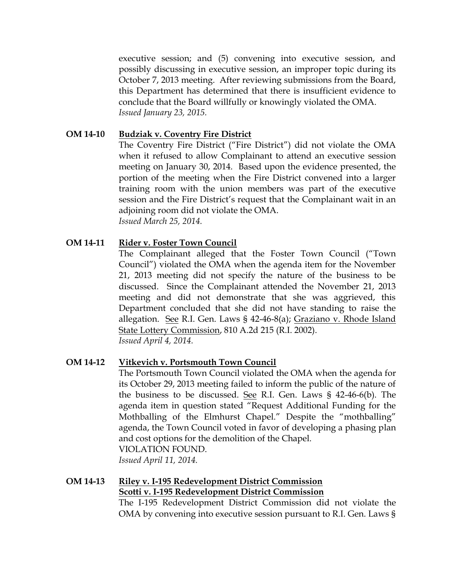executive session; and (5) convening into executive session, and possibly discussing in executive session, an improper topic during its October 7, 2013 meeting. After reviewing submissions from the Board, this Department has determined that there is insufficient evidence to conclude that the Board willfully or knowingly violated the OMA. *Issued January 23, 2015.*

#### **OM 14-10 Budziak v. Coventry Fire District**

The Coventry Fire District ("Fire District") did not violate the OMA when it refused to allow Complainant to attend an executive session meeting on January 30, 2014. Based upon the evidence presented, the portion of the meeting when the Fire District convened into a larger training room with the union members was part of the executive session and the Fire District's request that the Complainant wait in an adjoining room did not violate the OMA. *Issued March 25, 2014.*

#### **OM 14-11 Rider v. Foster Town Council**

The Complainant alleged that the Foster Town Council ("Town Council") violated the OMA when the agenda item for the November 21, 2013 meeting did not specify the nature of the business to be discussed. Since the Complainant attended the November 21, 2013 meeting and did not demonstrate that she was aggrieved, this Department concluded that she did not have standing to raise the allegation. See R.I. Gen. Laws § 42-46-8(a); Graziano v. Rhode Island State Lottery Commission, 810 A.2d 215 (R.I. 2002). *Issued April 4, 2014.*

#### **OM 14-12 Vitkevich v. Portsmouth Town Council**

The Portsmouth Town Council violated the OMA when the agenda for its October 29, 2013 meeting failed to inform the public of the nature of the business to be discussed. See R.I. Gen. Laws § 42-46-6(b). The agenda item in question stated "Request Additional Funding for the Mothballing of the Elmhurst Chapel." Despite the "mothballing" agenda, the Town Council voted in favor of developing a phasing plan and cost options for the demolition of the Chapel. VIOLATION FOUND.

*Issued April 11, 2014.*

### **OM 14-13 Riley v. I-195 Redevelopment District Commission Scotti v. I-195 Redevelopment District Commission**

The I-195 Redevelopment District Commission did not violate the OMA by convening into executive session pursuant to R.I. Gen. Laws §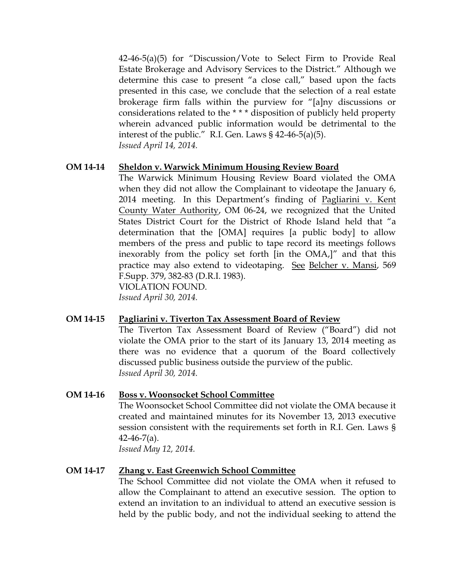42-46-5(a)(5) for "Discussion/Vote to Select Firm to Provide Real Estate Brokerage and Advisory Services to the District." Although we determine this case to present "a close call," based upon the facts presented in this case, we conclude that the selection of a real estate brokerage firm falls within the purview for "[a]ny discussions or considerations related to the \* \* \* disposition of publicly held property wherein advanced public information would be detrimental to the interest of the public." R.I. Gen. Laws § 42-46-5(a)(5). *Issued April 14, 2014.*

#### **OM 14-14 Sheldon v. Warwick Minimum Housing Review Board**

The Warwick Minimum Housing Review Board violated the OMA when they did not allow the Complainant to videotape the January 6, 2014 meeting. In this Department's finding of Pagliarini v. Kent County Water Authority, OM 06-24, we recognized that the United States District Court for the District of Rhode Island held that "a determination that the [OMA] requires [a public body] to allow members of the press and public to tape record its meetings follows inexorably from the policy set forth [in the OMA,]" and that this practice may also extend to videotaping. See Belcher v. Mansi, 569 F.Supp. 379, 382-83 (D.R.I. 1983).

VIOLATION FOUND.

*Issued April 30, 2014.* 

#### **OM 14-15 Pagliarini v. Tiverton Tax Assessment Board of Review**

The Tiverton Tax Assessment Board of Review ("Board") did not violate the OMA prior to the start of its January 13, 2014 meeting as there was no evidence that a quorum of the Board collectively discussed public business outside the purview of the public. *Issued April 30, 2014.*

#### **OM 14-16 Boss v. Woonsocket School Committee**

The Woonsocket School Committee did not violate the OMA because it created and maintained minutes for its November 13, 2013 executive session consistent with the requirements set forth in R.I. Gen. Laws §  $42-46-7(a)$ .

*Issued May 12, 2014.* 

#### **OM 14-17 Zhang v. East Greenwich School Committee**

The School Committee did not violate the OMA when it refused to allow the Complainant to attend an executive session. The option to extend an invitation to an individual to attend an executive session is held by the public body, and not the individual seeking to attend the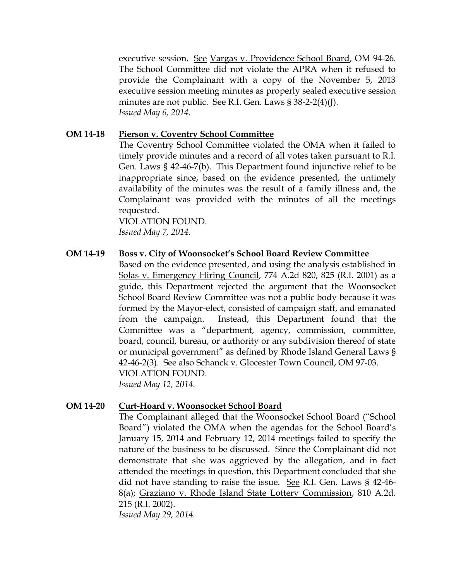executive session. See Vargas v. Providence School Board, OM 94-26. The School Committee did not violate the APRA when it refused to provide the Complainant with a copy of the November 5, 2013 executive session meeting minutes as properly sealed executive session minutes are not public. See R.I. Gen. Laws § 38-2-2(4)(J). *Issued May 6, 2014.*

#### **OM 14-18 Pierson v. Coventry School Committee**

The Coventry School Committee violated the OMA when it failed to timely provide minutes and a record of all votes taken pursuant to R.I. Gen. Laws § 42-46-7(b). This Department found injunctive relief to be inappropriate since, based on the evidence presented, the untimely availability of the minutes was the result of a family illness and, the Complainant was provided with the minutes of all the meetings requested.

VIOLATION FOUND. *Issued May 7, 2014.*

#### **OM 14-19 Boss v. City of Woonsocket's School Board Review Committee**

Based on the evidence presented, and using the analysis established in Solas v. Emergency Hiring Council, 774 A.2d 820, 825 (R.I. 2001) as a guide, this Department rejected the argument that the Woonsocket School Board Review Committee was not a public body because it was formed by the Mayor-elect, consisted of campaign staff, and emanated from the campaign. Instead, this Department found that the Committee was a "department, agency, commission, committee, board, council, bureau, or authority or any subdivision thereof of state or municipal government" as defined by Rhode Island General Laws § 42-46-2(3). See also Schanck v. Glocester Town Council, OM 97-03. VIOLATION FOUND. *Issued May 12, 2014.* 

#### **OM 14-20 Curt-Hoard v. Woonsocket School Board**

The Complainant alleged that the Woonsocket School Board ("School Board") violated the OMA when the agendas for the School Board's January 15, 2014 and February 12, 2014 meetings failed to specify the nature of the business to be discussed. Since the Complainant did not demonstrate that she was aggrieved by the allegation, and in fact attended the meetings in question, this Department concluded that she did not have standing to raise the issue. See R.I. Gen. Laws § 42-46- 8(a); Graziano v. Rhode Island State Lottery Commission, 810 A.2d. 215 (R.I. 2002).

*Issued May 29, 2014.*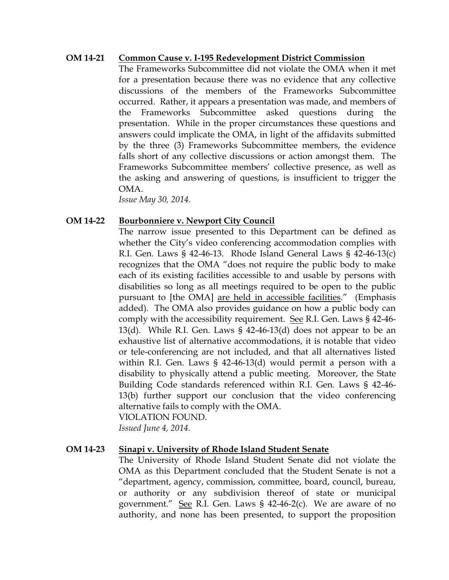#### **OM 14-21 Common Cause v. I-195 Redevelopment District Commission**

The Frameworks Subcommittee did not violate the OMA when it met for a presentation because there was no evidence that any collective discussions of the members of the Frameworks Subcommittee occurred. Rather, it appears a presentation was made, and members of the Frameworks Subcommittee asked questions during the presentation. While in the proper circumstances these questions and answers could implicate the OMA, in light of the affidavits submitted by the three (3) Frameworks Subcommittee members, the evidence falls short of any collective discussions or action amongst them. The Frameworks Subcommittee members' collective presence, as well as the asking and answering of questions, is insufficient to trigger the OMA.

*Issue May 30, 2014.*

#### **OM 14-22 Bourbonniere v. Newport City Council**

The narrow issue presented to this Department can be defined as whether the City's video conferencing accommodation complies with R.I. Gen. Laws § 42-46-13. Rhode Island General Laws § 42-46-13(c) recognizes that the OMA "does not require the public body to make each of its existing facilities accessible to and usable by persons with disabilities so long as all meetings required to be open to the public pursuant to [the OMA] are held in accessible facilities." (Emphasis added). The OMA also provides guidance on how a public body can comply with the accessibility requirement. See R.I. Gen. Laws § 42-46- 13(d). While R.I. Gen. Laws § 42-46-13(d) does not appear to be an exhaustive list of alternative accommodations, it is notable that video or tele-conferencing are not included, and that all alternatives listed within R.I. Gen. Laws § 42-46-13(d) would permit a person with a disability to physically attend a public meeting. Moreover, the State Building Code standards referenced within R.I. Gen. Laws § 42-46- 13(b) further support our conclusion that the video conferencing alternative fails to comply with the OMA. VIOLATION FOUND.

*Issued June 4, 2014.*

#### **OM 14-23 Sinapi v. University of Rhode Island Student Senate**

The University of Rhode Island Student Senate did not violate the OMA as this Department concluded that the Student Senate is not a "department, agency, commission, committee, board, council, bureau, or authority or any subdivision thereof of state or municipal government." See R.I. Gen. Laws § 42-46-2(c). We are aware of no authority, and none has been presented, to support the proposition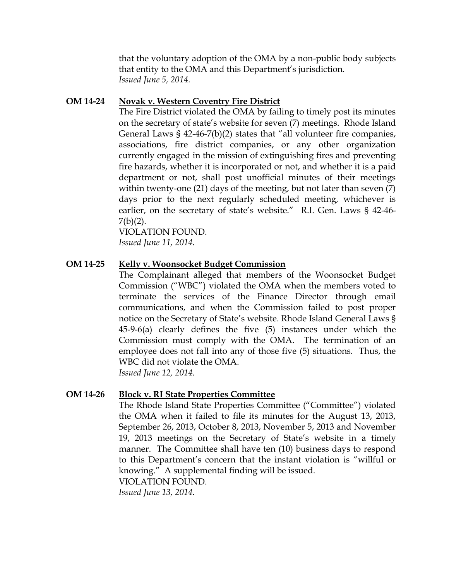that the voluntary adoption of the OMA by a non-public body subjects that entity to the OMA and this Department's jurisdiction. *Issued June 5, 2014.*

#### **OM 14-24 Novak v. Western Coventry Fire District**

The Fire District violated the OMA by failing to timely post its minutes on the secretary of state's website for seven (7) meetings. Rhode Island General Laws § 42-46-7(b)(2) states that "all volunteer fire companies, associations, fire district companies, or any other organization currently engaged in the mission of extinguishing fires and preventing fire hazards, whether it is incorporated or not, and whether it is a paid department or not, shall post unofficial minutes of their meetings within twenty-one (21) days of the meeting, but not later than seven (7) days prior to the next regularly scheduled meeting, whichever is earlier, on the secretary of state's website." R.I. Gen. Laws § 42-46-  $7(b)(2)$ .

VIOLATION FOUND. *Issued June 11, 2014.*

#### **OM 14-25 Kelly v. Woonsocket Budget Commission**

The Complainant alleged that members of the Woonsocket Budget Commission ("WBC") violated the OMA when the members voted to terminate the services of the Finance Director through email communications, and when the Commission failed to post proper notice on the Secretary of State's website. Rhode Island General Laws § 45-9-6(a) clearly defines the five (5) instances under which the Commission must comply with the OMA. The termination of an employee does not fall into any of those five (5) situations. Thus, the WBC did not violate the OMA. *Issued June 12, 2014.*

#### **OM 14-26 Block v. RI State Properties Committee**

The Rhode Island State Properties Committee ("Committee") violated the OMA when it failed to file its minutes for the August 13, 2013, September 26, 2013, October 8, 2013, November 5, 2013 and November 19, 2013 meetings on the Secretary of State's website in a timely manner. The Committee shall have ten (10) business days to respond to this Department's concern that the instant violation is "willful or knowing." A supplemental finding will be issued. VIOLATION FOUND.

*Issued June 13, 2014.*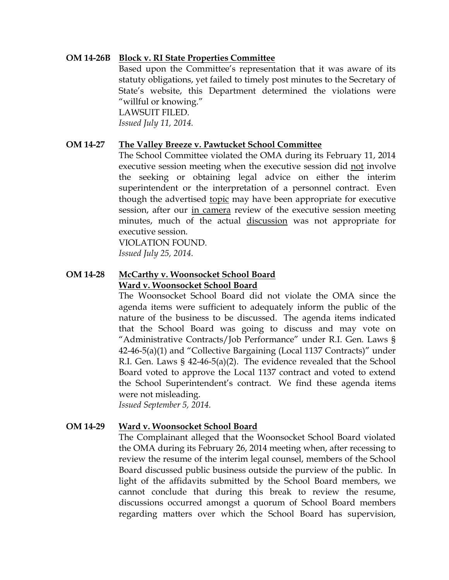#### **OM 14-26B Block v. RI State Properties Committee**

Based upon the Committee's representation that it was aware of its statuty obligations, yet failed to timely post minutes to the Secretary of State's website, this Department determined the violations were "willful or knowing."

LAWSUIT FILED. *Issued July 11, 2014.*

#### **OM 14-27 The Valley Breeze v. Pawtucket School Committee**

The School Committee violated the OMA during its February 11, 2014 executive session meeting when the executive session did not involve the seeking or obtaining legal advice on either the interim superintendent or the interpretation of a personnel contract. Even though the advertised topic may have been appropriate for executive session, after our in camera review of the executive session meeting minutes, much of the actual discussion was not appropriate for executive session.

VIOLATION FOUND.

*Issued July 25, 2014.*

#### **OM 14-28 McCarthy v. Woonsocket School Board Ward v. Woonsocket School Board**

The Woonsocket School Board did not violate the OMA since the agenda items were sufficient to adequately inform the public of the nature of the business to be discussed. The agenda items indicated that the School Board was going to discuss and may vote on "Administrative Contracts/Job Performance" under R.I. Gen. Laws § 42-46-5(a)(1) and "Collective Bargaining (Local 1137 Contracts)" under R.I. Gen. Laws § 42-46-5(a)(2). The evidence revealed that the School Board voted to approve the Local 1137 contract and voted to extend the School Superintendent's contract. We find these agenda items were not misleading.

*Issued September 5, 2014.*

#### **OM 14-29 Ward v. Woonsocket School Board**

The Complainant alleged that the Woonsocket School Board violated the OMA during its February 26, 2014 meeting when, after recessing to review the resume of the interim legal counsel, members of the School Board discussed public business outside the purview of the public. In light of the affidavits submitted by the School Board members, we cannot conclude that during this break to review the resume, discussions occurred amongst a quorum of School Board members regarding matters over which the School Board has supervision,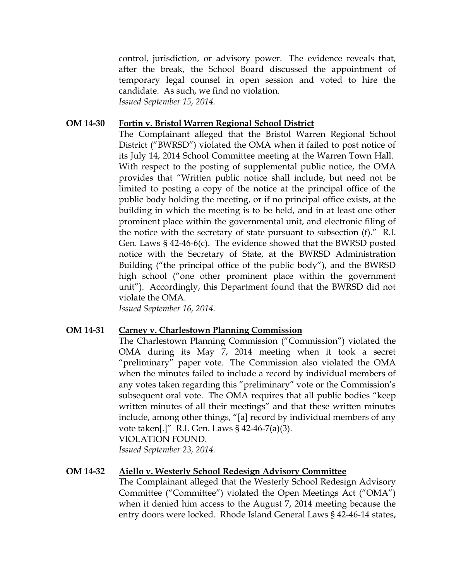control, jurisdiction, or advisory power. The evidence reveals that, after the break, the School Board discussed the appointment of temporary legal counsel in open session and voted to hire the candidate. As such, we find no violation. *Issued September 15, 2014.*

#### **OM 14-30 Fortin v. Bristol Warren Regional School District**

The Complainant alleged that the Bristol Warren Regional School District ("BWRSD") violated the OMA when it failed to post notice of its July 14, 2014 School Committee meeting at the Warren Town Hall. With respect to the posting of supplemental public notice, the OMA provides that "Written public notice shall include, but need not be limited to posting a copy of the notice at the principal office of the public body holding the meeting, or if no principal office exists, at the building in which the meeting is to be held, and in at least one other prominent place within the governmental unit, and electronic filing of the notice with the secretary of state pursuant to subsection (f)." R.I. Gen. Laws § 42-46-6(c). The evidence showed that the BWRSD posted notice with the Secretary of State, at the BWRSD Administration Building ("the principal office of the public body"), and the BWRSD high school ("one other prominent place within the government unit"). Accordingly, this Department found that the BWRSD did not violate the OMA.

*Issued September 16, 2014.*

#### **OM 14-31 Carney v. Charlestown Planning Commission**

The Charlestown Planning Commission ("Commission") violated the OMA during its May 7, 2014 meeting when it took a secret "preliminary" paper vote. The Commission also violated the OMA when the minutes failed to include a record by individual members of any votes taken regarding this "preliminary" vote or the Commission's subsequent oral vote. The OMA requires that all public bodies "keep written minutes of all their meetings" and that these written minutes include, among other things, "[a] record by individual members of any vote taken[.]" R.I. Gen. Laws § 42-46-7(a)(3). VIOLATION FOUND.

*Issued September 23, 2014.*

#### **OM 14-32 Aiello v. Westerly School Redesign Advisory Committee**

The Complainant alleged that the Westerly School Redesign Advisory Committee ("Committee") violated the Open Meetings Act ("OMA") when it denied him access to the August 7, 2014 meeting because the entry doors were locked. Rhode Island General Laws § 42-46-14 states,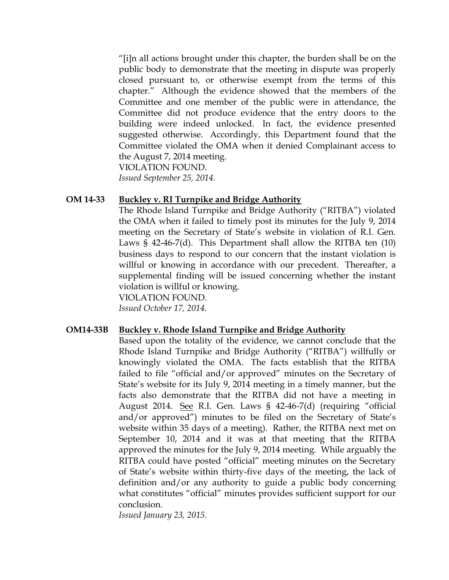"[i]n all actions brought under this chapter, the burden shall be on the public body to demonstrate that the meeting in dispute was properly closed pursuant to, or otherwise exempt from the terms of this chapter." Although the evidence showed that the members of the Committee and one member of the public were in attendance, the Committee did not produce evidence that the entry doors to the building were indeed unlocked. In fact, the evidence presented suggested otherwise. Accordingly, this Department found that the Committee violated the OMA when it denied Complainant access to the August 7, 2014 meeting. VIOLATION FOUND.

*Issued September 25, 2014.*

#### **OM 14-33 Buckley v. RI Turnpike and Bridge Authority**

The Rhode Island Turnpike and Bridge Authority ("RITBA") violated the OMA when it failed to timely post its minutes for the July 9, 2014 meeting on the Secretary of State's website in violation of R.I. Gen. Laws § 42-46-7(d). This Department shall allow the RITBA ten (10) business days to respond to our concern that the instant violation is willful or knowing in accordance with our precedent. Thereafter, a supplemental finding will be issued concerning whether the instant violation is willful or knowing.

VIOLATION FOUND.

*Issued October 17, 2014.*

#### **OM14-33B Buckley v. Rhode Island Turnpike and Bridge Authority**

Based upon the totality of the evidence, we cannot conclude that the Rhode Island Turnpike and Bridge Authority ("RITBA") willfully or knowingly violated the OMA. The facts establish that the RITBA failed to file "official and/or approved" minutes on the Secretary of State's website for its July 9, 2014 meeting in a timely manner, but the facts also demonstrate that the RITBA did not have a meeting in August 2014. See R.I. Gen. Laws § 42-46-7(d) (requiring "official and/or approved") minutes to be filed on the Secretary of State's website within 35 days of a meeting). Rather, the RITBA next met on September 10, 2014 and it was at that meeting that the RITBA approved the minutes for the July 9, 2014 meeting. While arguably the RITBA could have posted "official" meeting minutes on the Secretary of State's website within thirty-five days of the meeting, the lack of definition and/or any authority to guide a public body concerning what constitutes "official" minutes provides sufficient support for our conclusion.

*Issued January 23, 2015.*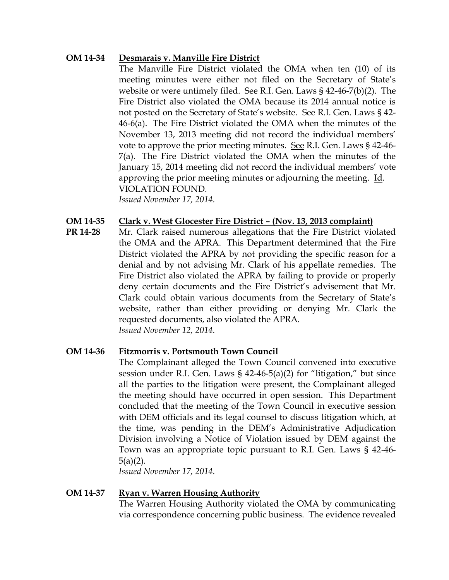#### **OM 14-34 Desmarais v. Manville Fire District**

The Manville Fire District violated the OMA when ten (10) of its meeting minutes were either not filed on the Secretary of State's website or were untimely filed. See R.I. Gen. Laws § 42-46-7(b)(2). The Fire District also violated the OMA because its 2014 annual notice is not posted on the Secretary of State's website. See R.I. Gen. Laws § 42- 46-6(a). The Fire District violated the OMA when the minutes of the November 13, 2013 meeting did not record the individual members' vote to approve the prior meeting minutes. See R.I. Gen. Laws § 42-46- 7(a). The Fire District violated the OMA when the minutes of the January 15, 2014 meeting did not record the individual members' vote approving the prior meeting minutes or adjourning the meeting. Id. VIOLATION FOUND. *Issued November 17, 2014.* 

#### **OM 14-35 Clark v. West Glocester Fire District – (Nov. 13, 2013 complaint)**

**PR 14-28** Mr. Clark raised numerous allegations that the Fire District violated the OMA and the APRA. This Department determined that the Fire District violated the APRA by not providing the specific reason for a denial and by not advising Mr. Clark of his appellate remedies. The Fire District also violated the APRA by failing to provide or properly deny certain documents and the Fire District's advisement that Mr. Clark could obtain various documents from the Secretary of State's website, rather than either providing or denying Mr. Clark the requested documents, also violated the APRA. *Issued November 12, 2014.* 

#### **OM 14-36 Fitzmorris v. Portsmouth Town Council**

The Complainant alleged the Town Council convened into executive session under R.I. Gen. Laws § 42-46-5(a)(2) for "litigation," but since all the parties to the litigation were present, the Complainant alleged the meeting should have occurred in open session. This Department concluded that the meeting of the Town Council in executive session with DEM officials and its legal counsel to discuss litigation which, at the time, was pending in the DEM's Administrative Adjudication Division involving a Notice of Violation issued by DEM against the Town was an appropriate topic pursuant to R.I. Gen. Laws § 42-46- 5(a)(2).

*Issued November 17, 2014.* 

#### **OM 14-37 Ryan v. Warren Housing Authority**

The Warren Housing Authority violated the OMA by communicating via correspondence concerning public business. The evidence revealed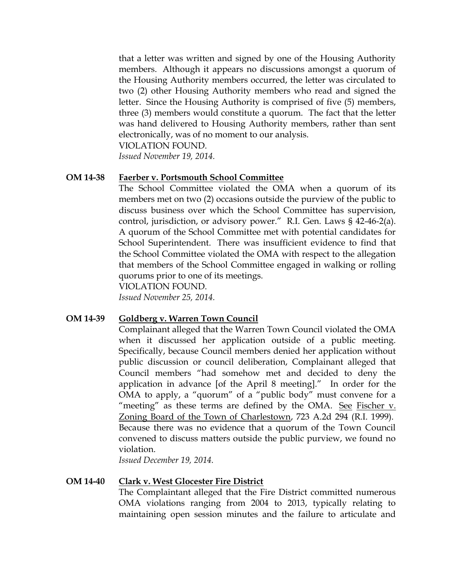that a letter was written and signed by one of the Housing Authority members. Although it appears no discussions amongst a quorum of the Housing Authority members occurred, the letter was circulated to two (2) other Housing Authority members who read and signed the letter. Since the Housing Authority is comprised of five (5) members, three (3) members would constitute a quorum. The fact that the letter was hand delivered to Housing Authority members, rather than sent electronically, was of no moment to our analysis. VIOLATION FOUND.

*Issued November 19, 2014.* 

#### **OM 14-38 Faerber v. Portsmouth School Committee**

The School Committee violated the OMA when a quorum of its members met on two (2) occasions outside the purview of the public to discuss business over which the School Committee has supervision, control, jurisdiction, or advisory power." R.I. Gen. Laws § 42-46-2(a). A quorum of the School Committee met with potential candidates for School Superintendent. There was insufficient evidence to find that the School Committee violated the OMA with respect to the allegation that members of the School Committee engaged in walking or rolling quorums prior to one of its meetings.

VIOLATION FOUND.

*Issued November 25, 2014.*

#### **OM 14-39 Goldberg v. Warren Town Council**

Complainant alleged that the Warren Town Council violated the OMA when it discussed her application outside of a public meeting. Specifically, because Council members denied her application without public discussion or council deliberation, Complainant alleged that Council members "had somehow met and decided to deny the application in advance [of the April 8 meeting]." In order for the OMA to apply, a "quorum" of a "public body" must convene for a "meeting" as these terms are defined by the OMA. See Fischer  $v$ . Zoning Board of the Town of Charlestown, 723 A.2d 294 (R.I. 1999). Because there was no evidence that a quorum of the Town Council convened to discuss matters outside the public purview, we found no violation.

*Issued December 19, 2014.*

#### **OM 14-40 Clark v. West Glocester Fire District**

The Complaintant alleged that the Fire District committed numerous OMA violations ranging from 2004 to 2013, typically relating to maintaining open session minutes and the failure to articulate and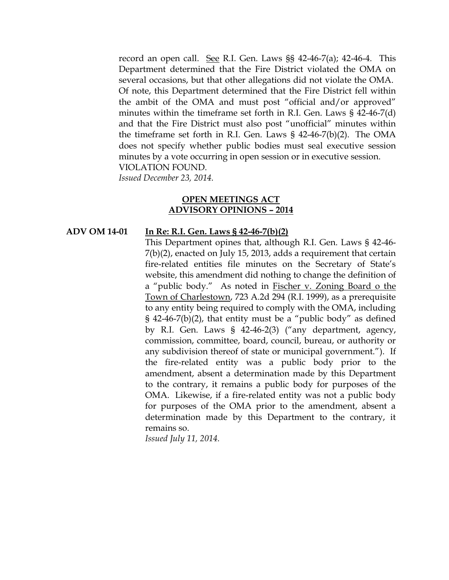record an open call. See R.I. Gen. Laws §§ 42-46-7(a); 42-46-4. This Department determined that the Fire District violated the OMA on several occasions, but that other allegations did not violate the OMA. Of note, this Department determined that the Fire District fell within the ambit of the OMA and must post "official and/or approved" minutes within the timeframe set forth in R.I. Gen. Laws § 42-46-7(d) and that the Fire District must also post "unofficial" minutes within the timeframe set forth in R.I. Gen. Laws § 42-46-7(b)(2). The OMA does not specify whether public bodies must seal executive session minutes by a vote occurring in open session or in executive session. VIOLATION FOUND.

*Issued December 23, 2014.* 

#### **OPEN MEETINGS ACT ADVISORY OPINIONS – 2014**

#### **ADV OM 14-01 In Re: R.I. Gen. Laws § 42-46-7(b)(2)**

This Department opines that, although R.I. Gen. Laws § 42-46- 7(b)(2), enacted on July 15, 2013, adds a requirement that certain fire-related entities file minutes on the Secretary of State's website, this amendment did nothing to change the definition of a "public body." As noted in Fischer v. Zoning Board o the Town of Charlestown, 723 A.2d 294 (R.I. 1999), as a prerequisite to any entity being required to comply with the OMA, including  $\S$  42-46-7(b)(2), that entity must be a "public body" as defined by R.I. Gen. Laws § 42-46-2(3) ("any department, agency, commission, committee, board, council, bureau, or authority or any subdivision thereof of state or municipal government."). If the fire-related entity was a public body prior to the amendment, absent a determination made by this Department to the contrary, it remains a public body for purposes of the OMA. Likewise, if a fire-related entity was not a public body for purposes of the OMA prior to the amendment, absent a determination made by this Department to the contrary, it remains so.

*Issued July 11, 2014.*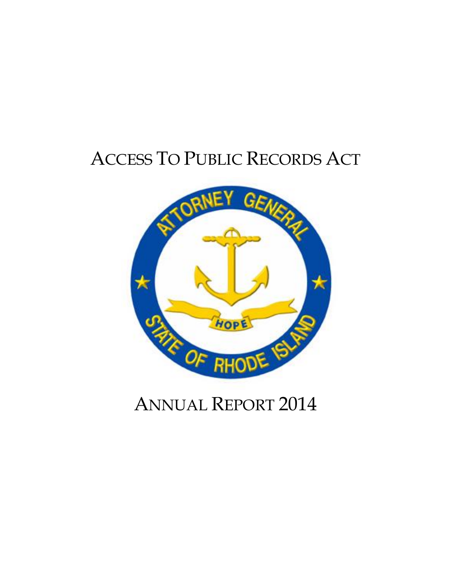# ACCESS TO PUBLIC RECORDS ACT



# ANNUAL REPORT 2014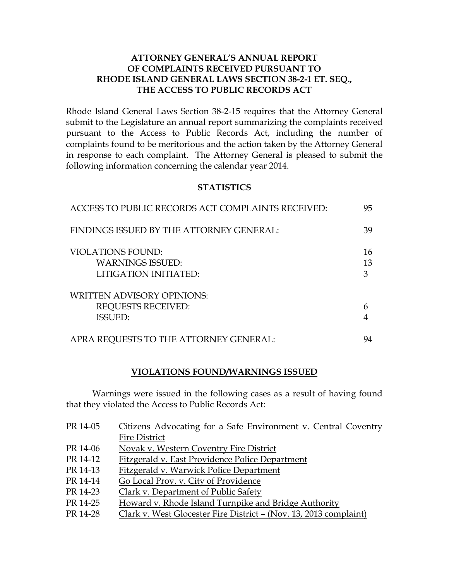#### **ATTORNEY GENERAL'S ANNUAL REPORT OF COMPLAINTS RECEIVED PURSUANT TO RHODE ISLAND GENERAL LAWS SECTION 38-2-1 ET. SEQ., THE ACCESS TO PUBLIC RECORDS ACT**

Rhode Island General Laws Section 38-2-15 requires that the Attorney General submit to the Legislature an annual report summarizing the complaints received pursuant to the Access to Public Records Act, including the number of complaints found to be meritorious and the action taken by the Attorney General in response to each complaint. The Attorney General is pleased to submit the following information concerning the calendar year 2014.

#### **STATISTICS**

| ACCESS TO PUBLIC RECORDS ACT COMPLAINTS RECEIVED:   | 95       |
|-----------------------------------------------------|----------|
| FINDINGS ISSUED BY THE ATTORNEY GENERAL:            | 39       |
| <b>VIOLATIONS FOUND:</b><br><b>WARNINGS ISSUED:</b> | 16<br>13 |
| LITIGATION INITIATED:                               | 3        |
| <b>WRITTEN ADVISORY OPINIONS:</b>                   |          |
| <b>REQUESTS RECEIVED:</b><br><b>ISSUED:</b>         | 6        |
|                                                     |          |
| APRA REQUESTS TO THE ATTORNEY GENERAL:              | 94       |

#### **VIOLATIONS FOUND/WARNINGS ISSUED**

Warnings were issued in the following cases as a result of having found that they violated the Access to Public Records Act:

| PR 14-05 | Citizens Advocating for a Safe Environment v. Central Coventry    |
|----------|-------------------------------------------------------------------|
|          | <b>Fire District</b>                                              |
| PR 14-06 | Novak v. Western Coventry Fire District                           |
| PR 14-12 | Fitzgerald v. East Providence Police Department                   |
| PR 14-13 | Fitzgerald v. Warwick Police Department                           |
| PR 14-14 | Go Local Prov. v. City of Providence                              |
| PR 14-23 | Clark v. Department of Public Safety                              |
| PR 14-25 | Howard v. Rhode Island Turnpike and Bridge Authority              |
| PR 14-28 | Clark v. West Glocester Fire District - (Nov. 13, 2013 complaint) |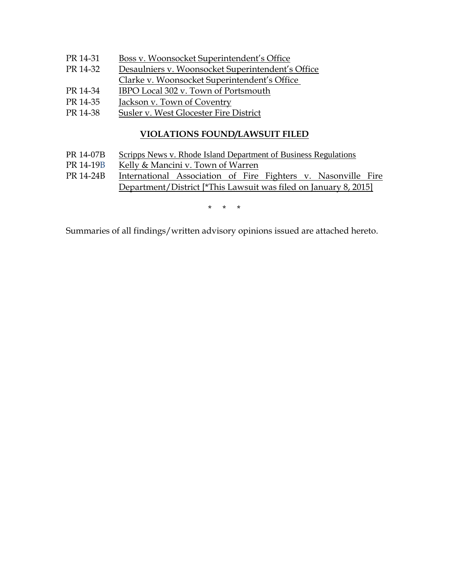- PR 14-31 Boss v. Woonsocket Superintendent's Office
- PR 14-32 Desaulniers v. Woonsocket Superintendent's Office
- Clarke v. Woonsocket Superintendent's Office
- PR 14-34 IBPO Local 302 v. Town of Portsmouth
- PR 14-35 Jackson v. Town of Coventry
- PR 14-38 Susler v. West Glocester Fire District

#### **VIOLATIONS FOUND/LAWSUIT FILED**

- PR 14-07B Scripps News v. Rhode Island Department of Business Regulations
- PR 14-19B Kelly & Mancini v. Town of Warren
- PR 14-24B International Association of Fire Fighters v. Nasonville Fire Department/District [\*This Lawsuit was filed on January 8, 2015]

\* \* \*

Summaries of all findings/written advisory opinions issued are attached hereto.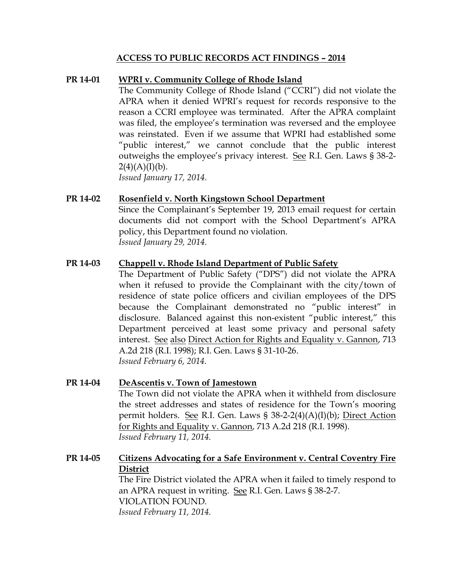#### **ACCESS TO PUBLIC RECORDS ACT FINDINGS – 2014**

#### **PR 14-01 WPRI v. Community College of Rhode Island**

The Community College of Rhode Island ("CCRI") did not violate the APRA when it denied WPRI's request for records responsive to the reason a CCRI employee was terminated. After the APRA complaint was filed, the employee's termination was reversed and the employee was reinstated. Even if we assume that WPRI had established some "public interest," we cannot conclude that the public interest outweighs the employee's privacy interest. See R.I. Gen. Laws § 38-2-  $2(4)(A)(I)(b)$ .

*Issued January 17, 2014.*

#### **PR 14-02 Rosenfield v. North Kingstown School Department**

Since the Complainant's September 19, 2013 email request for certain documents did not comport with the School Department's APRA policy, this Department found no violation. *Issued January 29, 2014.*

#### **PR 14-03 Chappell v. Rhode Island Department of Public Safety**

The Department of Public Safety ("DPS") did not violate the APRA when it refused to provide the Complainant with the city/town of residence of state police officers and civilian employees of the DPS because the Complainant demonstrated no "public interest" in disclosure. Balanced against this non-existent "public interest," this Department perceived at least some privacy and personal safety interest. See also Direct Action for Rights and Equality v. Gannon, 713 A.2d 218 (R.I. 1998); R.I. Gen. Laws § 31-10-26. *Issued February 6, 2014.*

#### **PR 14-04 DeAscentis v. Town of Jamestown**

The Town did not violate the APRA when it withheld from disclosure the street addresses and states of residence for the Town's mooring permit holders. See R.I. Gen. Laws § 38-2-2(4)(A)(I)(b); Direct Action for Rights and Equality v. Gannon, 713 A.2d 218 (R.I. 1998). *Issued February 11, 2014.*

### **PR 14-05 Citizens Advocating for a Safe Environment v. Central Coventry Fire District** The Fire District violated the APRA when it failed to timely respond to an APRA request in writing. See R.I. Gen. Laws § 38-2-7. VIOLATION FOUND*.*

*Issued February 11, 2014.*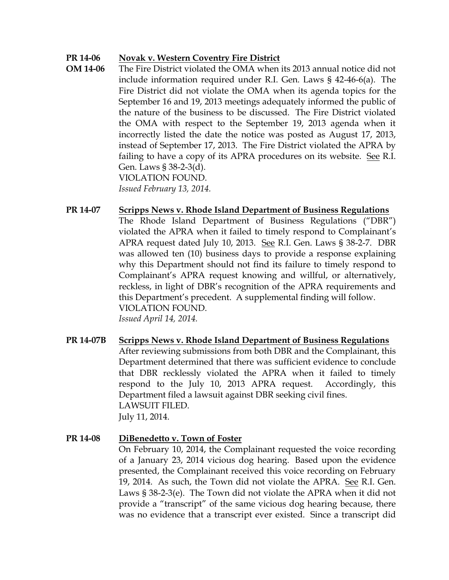#### **PR 14-06 Novak v. Western Coventry Fire District**

**OM 14-06** The Fire District violated the OMA when its 2013 annual notice did not include information required under R.I. Gen. Laws § 42-46-6(a). The Fire District did not violate the OMA when its agenda topics for the September 16 and 19, 2013 meetings adequately informed the public of the nature of the business to be discussed. The Fire District violated the OMA with respect to the September 19, 2013 agenda when it incorrectly listed the date the notice was posted as August 17, 2013, instead of September 17, 2013. The Fire District violated the APRA by failing to have a copy of its APRA procedures on its website. See R.I. Gen. Laws § 38-2-3(d). VIOLATION FOUND. *Issued February 13, 2014.*

**PR 14-07 Scripps News v. Rhode Island Department of Business Regulations** The Rhode Island Department of Business Regulations ("DBR") violated the APRA when it failed to timely respond to Complainant's APRA request dated July 10, 2013. See R.I. Gen. Laws § 38-2-7. DBR was allowed ten (10) business days to provide a response explaining why this Department should not find its failure to timely respond to Complainant's APRA request knowing and willful, or alternatively, reckless, in light of DBR's recognition of the APRA requirements and this Department's precedent. A supplemental finding will follow. VIOLATION FOUND. *Issued April 14, 2014.*

**PR 14-07B Scripps News v. Rhode Island Department of Business Regulations** After reviewing submissions from both DBR and the Complainant, this Department determined that there was sufficient evidence to conclude that DBR recklessly violated the APRA when it failed to timely respond to the July 10, 2013 APRA request. Accordingly, this Department filed a lawsuit against DBR seeking civil fines. LAWSUIT FILED. July 11, 2014.

#### **PR 14-08 DiBenedetto v. Town of Foster**

On February 10, 2014, the Complainant requested the voice recording of a January 23, 2014 vicious dog hearing. Based upon the evidence presented, the Complainant received this voice recording on February 19, 2014. As such, the Town did not violate the APRA. See R.I. Gen. Laws § 38-2-3(e). The Town did not violate the APRA when it did not provide a "transcript" of the same vicious dog hearing because, there was no evidence that a transcript ever existed. Since a transcript did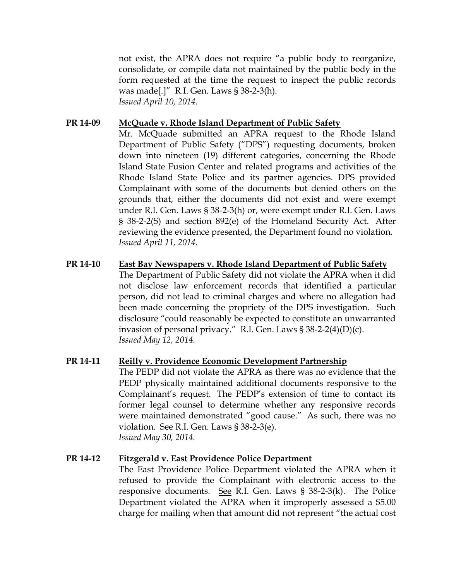not exist, the APRA does not require "a public body to reorganize, consolidate, or compile data not maintained by the public body in the form requested at the time the request to inspect the public records was made[.]" R.I. Gen. Laws § 38-2-3(h). *Issued April 10, 2014.*

#### **PR 14-09 McQuade v. Rhode Island Department of Public Safety**

Mr. McQuade submitted an APRA request to the Rhode Island Department of Public Safety ("DPS") requesting documents, broken down into nineteen (19) different categories, concerning the Rhode Island State Fusion Center and related programs and activities of the Rhode Island State Police and its partner agencies. DPS provided Complainant with some of the documents but denied others on the grounds that, either the documents did not exist and were exempt under R.I. Gen. Laws § 38-2-3(h) or, were exempt under R.I. Gen. Laws § 38-2-2(S) and section 892(e) of the Homeland Security Act. After reviewing the evidence presented, the Department found no violation. *Issued April 11, 2014.*

**PR 14-10 East Bay Newspapers v. Rhode Island Department of Public Safety** The Department of Public Safety did not violate the APRA when it did not disclose law enforcement records that identified a particular person, did not lead to criminal charges and where no allegation had been made concerning the propriety of the DPS investigation. Such disclosure "could reasonably be expected to constitute an unwarranted invasion of personal privacy." R.I. Gen. Laws  $\S 38-2-2(4)(D)(c)$ . *Issued May 12, 2014.*

#### **PR 14-11 Reilly v. Providence Economic Development Partnership** The PEDP did not violate the APRA as there was no evidence that the PEDP physically maintained additional documents responsive to the Complainant's request. The PEDP's extension of time to contact its former legal counsel to determine whether any responsive records were maintained demonstrated "good cause." As such, there was no violation. See R.I. Gen. Laws § 38-2-3(e). *Issued May 30, 2014.*

#### **PR 14-12 Fitzgerald v. East Providence Police Department**

The East Providence Police Department violated the APRA when it refused to provide the Complainant with electronic access to the responsive documents. See R.I. Gen. Laws § 38-2-3(k). The Police Department violated the APRA when it improperly assessed a \$5.00 charge for mailing when that amount did not represent "the actual cost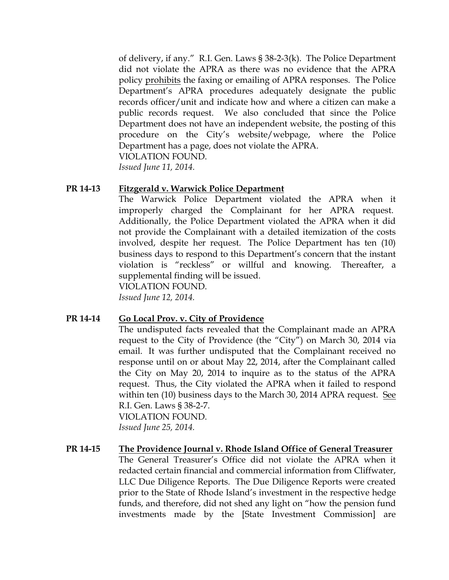of delivery, if any." R.I. Gen. Laws § 38-2-3(k). The Police Department did not violate the APRA as there was no evidence that the APRA policy prohibits the faxing or emailing of APRA responses. The Police Department's APRA procedures adequately designate the public records officer/unit and indicate how and where a citizen can make a public records request. We also concluded that since the Police Department does not have an independent website, the posting of this procedure on the City's website/webpage, where the Police Department has a page, does not violate the APRA. VIOLATION FOUND.

*Issued June 11, 2014.*

#### **PR 14-13 Fitzgerald v. Warwick Police Department**

The Warwick Police Department violated the APRA when it improperly charged the Complainant for her APRA request. Additionally, the Police Department violated the APRA when it did not provide the Complainant with a detailed itemization of the costs involved, despite her request. The Police Department has ten (10) business days to respond to this Department's concern that the instant violation is "reckless" or willful and knowing. Thereafter, a supplemental finding will be issued.

VIOLATION FOUND.

*Issued June 12, 2014.*

#### **PR 14-14 Go Local Prov. v. City of Providence**

The undisputed facts revealed that the Complainant made an APRA request to the City of Providence (the "City") on March 30, 2014 via email. It was further undisputed that the Complainant received no response until on or about May 22, 2014, after the Complainant called the City on May 20, 2014 to inquire as to the status of the APRA request. Thus, the City violated the APRA when it failed to respond within ten (10) business days to the March 30, 2014 APRA request. See R.I. Gen. Laws § 38-2-7.

VIOLATION FOUND. *Issued June 25, 2014.*

#### **PR 14-15 The Providence Journal v. Rhode Island Office of General Treasurer**

The General Treasurer's Office did not violate the APRA when it redacted certain financial and commercial information from Cliffwater, LLC Due Diligence Reports. The Due Diligence Reports were created prior to the State of Rhode Island's investment in the respective hedge funds, and therefore, did not shed any light on "how the pension fund investments made by the [State Investment Commission] are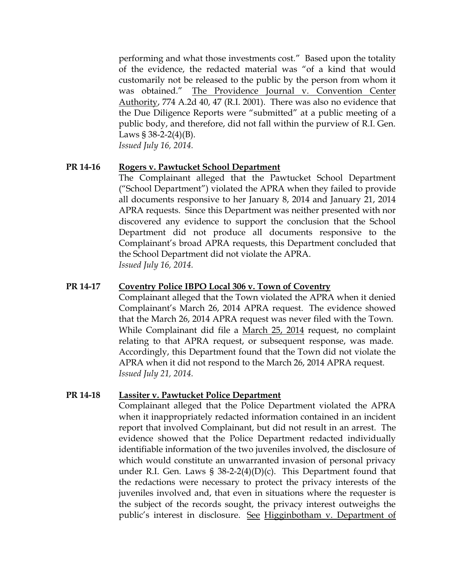performing and what those investments cost." Based upon the totality of the evidence, the redacted material was "of a kind that would customarily not be released to the public by the person from whom it was obtained." The Providence Journal v. Convention Center Authority, 774 A.2d 40, 47 (R.I. 2001). There was also no evidence that the Due Diligence Reports were "submitted" at a public meeting of a public body, and therefore, did not fall within the purview of R.I. Gen. Laws  $\S 38-2-2(4)(B)$ . *Issued July 16, 2014.*

#### **PR 14-16 Rogers v. Pawtucket School Department**

The Complainant alleged that the Pawtucket School Department ("School Department") violated the APRA when they failed to provide all documents responsive to her January 8, 2014 and January 21, 2014 APRA requests. Since this Department was neither presented with nor discovered any evidence to support the conclusion that the School Department did not produce all documents responsive to the Complainant's broad APRA requests, this Department concluded that the School Department did not violate the APRA. *Issued July 16, 2014.*

#### **PR 14-17 Coventry Police IBPO Local 306 v. Town of Coventry**

Complainant alleged that the Town violated the APRA when it denied Complainant's March 26, 2014 APRA request. The evidence showed that the March 26, 2014 APRA request was never filed with the Town. While Complainant did file a March 25, 2014 request, no complaint relating to that APRA request, or subsequent response, was made. Accordingly, this Department found that the Town did not violate the APRA when it did not respond to the March 26, 2014 APRA request. *Issued July 21, 2014.*

#### **PR 14-18 Lassiter v. Pawtucket Police Department**

Complainant alleged that the Police Department violated the APRA when it inappropriately redacted information contained in an incident report that involved Complainant, but did not result in an arrest. The evidence showed that the Police Department redacted individually identifiable information of the two juveniles involved, the disclosure of which would constitute an unwarranted invasion of personal privacy under R.I. Gen. Laws § 38-2-2(4)(D)(c). This Department found that the redactions were necessary to protect the privacy interests of the juveniles involved and, that even in situations where the requester is the subject of the records sought, the privacy interest outweighs the public's interest in disclosure. See Higginbotham v. Department of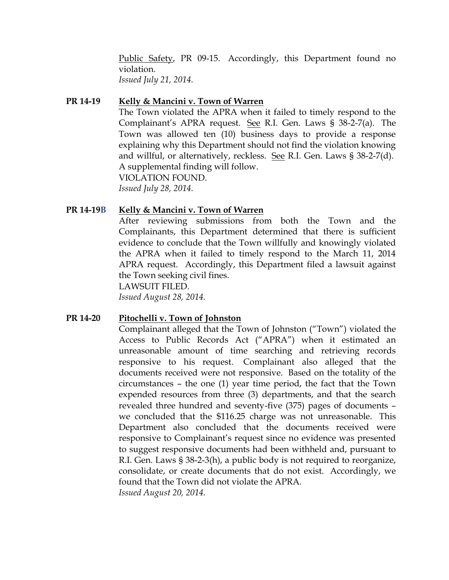Public Safety, PR 09-15. Accordingly, this Department found no violation. *Issued July 21, 2014.*

#### **PR 14-19 Kelly & Mancini v. Town of Warren**

The Town violated the APRA when it failed to timely respond to the Complainant's APRA request. See R.I. Gen. Laws § 38-2-7(a). The Town was allowed ten (10) business days to provide a response explaining why this Department should not find the violation knowing and willful, or alternatively, reckless. See R.I. Gen. Laws § 38-2-7(d). A supplemental finding will follow. VIOLATION FOUND. *Issued July 28, 2014.*

#### **PR 14-19B Kelly & Mancini v. Town of Warren**

After reviewing submissions from both the Town and the Complainants, this Department determined that there is sufficient evidence to conclude that the Town willfully and knowingly violated the APRA when it failed to timely respond to the March 11, 2014 APRA request. Accordingly, this Department filed a lawsuit against the Town seeking civil fines.

LAWSUIT FILED.

*Issued August 28, 2014.*

#### **PR 14-20 Pitochelli v. Town of Johnston**

Complainant alleged that the Town of Johnston ("Town") violated the Access to Public Records Act ("APRA") when it estimated an unreasonable amount of time searching and retrieving records responsive to his request. Complainant also alleged that the documents received were not responsive. Based on the totality of the circumstances – the one (1) year time period, the fact that the Town expended resources from three (3) departments, and that the search revealed three hundred and seventy-five (375) pages of documents – we concluded that the \$116.25 charge was not unreasonable. This Department also concluded that the documents received were responsive to Complainant's request since no evidence was presented to suggest responsive documents had been withheld and, pursuant to R.I. Gen. Laws § 38-2-3(h), a public body is not required to reorganize, consolidate, or create documents that do not exist. Accordingly, we found that the Town did not violate the APRA. *Issued August 20, 2014.*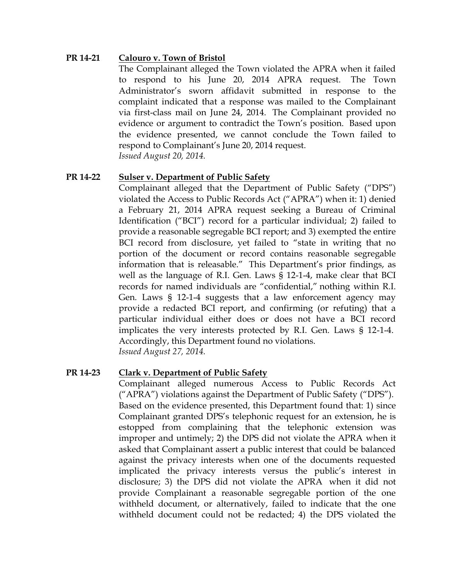#### **PR 14-21 Calouro v. Town of Bristol**

The Complainant alleged the Town violated the APRA when it failed to respond to his June 20, 2014 APRA request. The Town Administrator's sworn affidavit submitted in response to the complaint indicated that a response was mailed to the Complainant via first-class mail on June 24, 2014. The Complainant provided no evidence or argument to contradict the Town's position. Based upon the evidence presented, we cannot conclude the Town failed to respond to Complainant's June 20, 2014 request. *Issued August 20, 2014.*

#### **PR 14-22 Sulser v. Department of Public Safety**

Complainant alleged that the Department of Public Safety ("DPS") violated the Access to Public Records Act ("APRA") when it: 1) denied a February 21, 2014 APRA request seeking a Bureau of Criminal Identification ("BCI") record for a particular individual; 2) failed to provide a reasonable segregable BCI report; and 3) exempted the entire BCI record from disclosure, yet failed to "state in writing that no portion of the document or record contains reasonable segregable information that is releasable." This Department's prior findings, as well as the language of R.I. Gen. Laws § 12-1-4, make clear that BCI records for named individuals are "confidential," nothing within R.I. Gen. Laws § 12-1-4 suggests that a law enforcement agency may provide a redacted BCI report, and confirming (or refuting) that a particular individual either does or does not have a BCI record implicates the very interests protected by R.I. Gen. Laws § 12-1-4. Accordingly, this Department found no violations. *Issued August 27, 2014.*

#### **PR 14-23 Clark v. Department of Public Safety**

Complainant alleged numerous Access to Public Records Act ("APRA") violations against the Department of Public Safety ("DPS"). Based on the evidence presented, this Department found that: 1) since Complainant granted DPS's telephonic request for an extension, he is estopped from complaining that the telephonic extension was improper and untimely; 2) the DPS did not violate the APRA when it asked that Complainant assert a public interest that could be balanced against the privacy interests when one of the documents requested implicated the privacy interests versus the public's interest in disclosure; 3) the DPS did not violate the APRA when it did not provide Complainant a reasonable segregable portion of the one withheld document, or alternatively, failed to indicate that the one withheld document could not be redacted; 4) the DPS violated the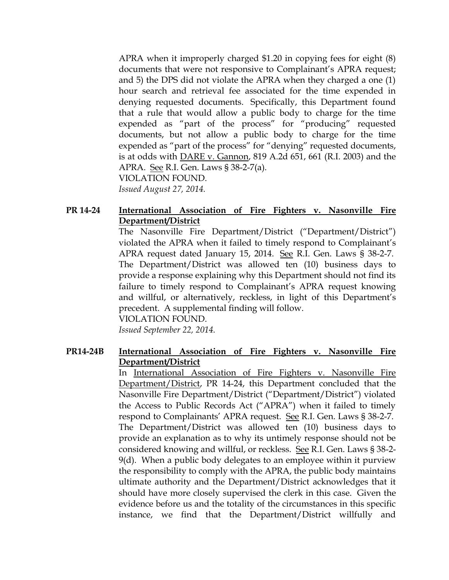APRA when it improperly charged \$1.20 in copying fees for eight (8) documents that were not responsive to Complainant's APRA request; and 5) the DPS did not violate the APRA when they charged a one (1) hour search and retrieval fee associated for the time expended in denying requested documents. Specifically, this Department found that a rule that would allow a public body to charge for the time expended as "part of the process" for "producing" requested documents, but not allow a public body to charge for the time expended as "part of the process" for "denying" requested documents, is at odds with DARE v. Gannon, 819 A.2d 651, 661 (R.I. 2003) and the APRA. See R.I. Gen. Laws § 38-2-7(a). VIOLATION FOUND. *Issued August 27, 2014.*

#### **PR 14-24 International Association of Fire Fighters v. Nasonville Fire Department/District**

The Nasonville Fire Department/District ("Department/District") violated the APRA when it failed to timely respond to Complainant's APRA request dated January 15, 2014. See R.I. Gen. Laws § 38-2-7. The Department/District was allowed ten (10) business days to provide a response explaining why this Department should not find its failure to timely respond to Complainant's APRA request knowing and willful, or alternatively, reckless, in light of this Department's precedent. A supplemental finding will follow.

VIOLATION FOUND.

*Issued September 22, 2014.*

#### **PR14-24B International Association of Fire Fighters v. Nasonville Fire Department/District**

In International Association of Fire Fighters v. Nasonville Fire Department/District, PR 14-24, this Department concluded that the Nasonville Fire Department/District ("Department/District") violated the Access to Public Records Act ("APRA") when it failed to timely respond to Complainants' APRA request. See R.I. Gen. Laws § 38-2-7. The Department/District was allowed ten (10) business days to provide an explanation as to why its untimely response should not be considered knowing and willful, or reckless. See R.I. Gen. Laws § 38-2- 9(d). When a public body delegates to an employee within it purview the responsibility to comply with the APRA, the public body maintains ultimate authority and the Department/District acknowledges that it should have more closely supervised the clerk in this case. Given the evidence before us and the totality of the circumstances in this specific instance, we find that the Department/District willfully and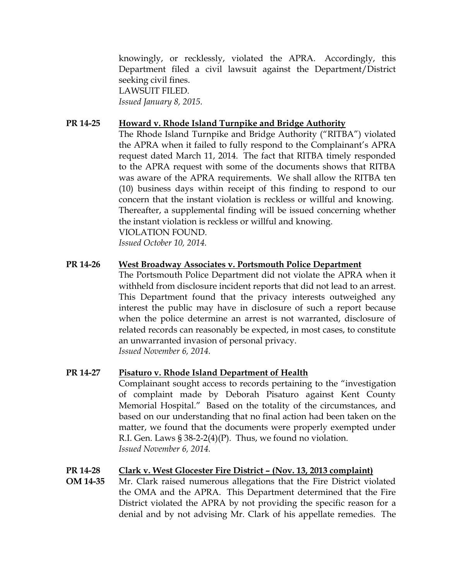knowingly, or recklessly, violated the APRA. Accordingly, this Department filed a civil lawsuit against the Department/District seeking civil fines. LAWSUIT FILED. *Issued January 8, 2015.*

#### **PR 14-25 Howard v. Rhode Island Turnpike and Bridge Authority**

The Rhode Island Turnpike and Bridge Authority ("RITBA") violated the APRA when it failed to fully respond to the Complainant's APRA request dated March 11, 2014. The fact that RITBA timely responded to the APRA request with some of the documents shows that RITBA was aware of the APRA requirements. We shall allow the RITBA ten (10) business days within receipt of this finding to respond to our concern that the instant violation is reckless or willful and knowing. Thereafter, a supplemental finding will be issued concerning whether the instant violation is reckless or willful and knowing. VIOLATION FOUND.

*Issued October 10, 2014.*

#### **PR 14-26 West Broadway Associates v. Portsmouth Police Department**

The Portsmouth Police Department did not violate the APRA when it withheld from disclosure incident reports that did not lead to an arrest. This Department found that the privacy interests outweighed any interest the public may have in disclosure of such a report because when the police determine an arrest is not warranted, disclosure of related records can reasonably be expected, in most cases, to constitute an unwarranted invasion of personal privacy. *Issued November 6, 2014.* 

#### **PR 14-27 Pisaturo v. Rhode Island Department of Health**

Complainant sought access to records pertaining to the "investigation of complaint made by Deborah Pisaturo against Kent County Memorial Hospital." Based on the totality of the circumstances, and based on our understanding that no final action had been taken on the matter, we found that the documents were properly exempted under R.I. Gen. Laws  $\S 38-2-2(4)(P)$ . Thus, we found no violation. *Issued November 6, 2014.* 

#### **PR 14-28 Clark v. West Glocester Fire District – (Nov. 13, 2013 complaint)**

**OM 14-35** Mr. Clark raised numerous allegations that the Fire District violated the OMA and the APRA. This Department determined that the Fire District violated the APRA by not providing the specific reason for a denial and by not advising Mr. Clark of his appellate remedies. The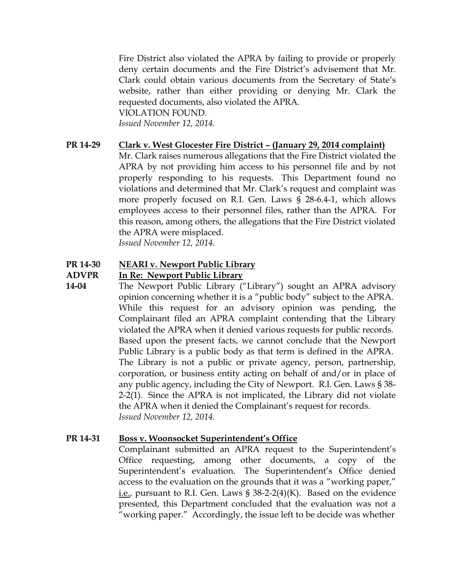Fire District also violated the APRA by failing to provide or properly deny certain documents and the Fire District's advisement that Mr. Clark could obtain various documents from the Secretary of State's website, rather than either providing or denying Mr. Clark the requested documents, also violated the APRA. VIOLATION FOUND. *Issued November 12, 2014.* 

**PR 14-29 Clark v. West Glocester Fire District – (January 29, 2014 complaint)** Mr. Clark raises numerous allegations that the Fire District violated the APRA by not providing him access to his personnel file and by not properly responding to his requests. This Department found no violations and determined that Mr. Clark's request and complaint was more properly focused on R.I. Gen. Laws § 28-6.4-1, which allows employees access to their personnel files, rather than the APRA. For this reason, among others, the allegations that the Fire District violated the APRA were misplaced. *Issued November 12, 2014.* 

#### **PR 14-30 NEARI v. Newport Public Library**

#### **ADVPR In Re: Newport Public Library**

**14-04** The Newport Public Library ("Library") sought an APRA advisory opinion concerning whether it is a "public body" subject to the APRA. While this request for an advisory opinion was pending, the Complainant filed an APRA complaint contending that the Library violated the APRA when it denied various requests for public records. Based upon the present facts, we cannot conclude that the Newport Public Library is a public body as that term is defined in the APRA. The Library is not a public or private agency, person, partnership, corporation, or business entity acting on behalf of and/or in place of any public agency, including the City of Newport. R.I. Gen. Laws § 38- 2-2(1). Since the APRA is not implicated, the Library did not violate the APRA when it denied the Complainant's request for records. *Issued November 12, 2014.*

#### **PR 14-31 Boss v. Woonsocket Superintendent's Office**

Complainant submitted an APRA request to the Superintendent's Office requesting, among other documents, a copy of the Superintendent's evaluation. The Superintendent's Office denied access to the evaluation on the grounds that it was a "working paper," i.e., pursuant to R.I. Gen. Laws § 38-2-2(4)(K). Based on the evidence presented, this Department concluded that the evaluation was not a "working paper." Accordingly, the issue left to be decide was whether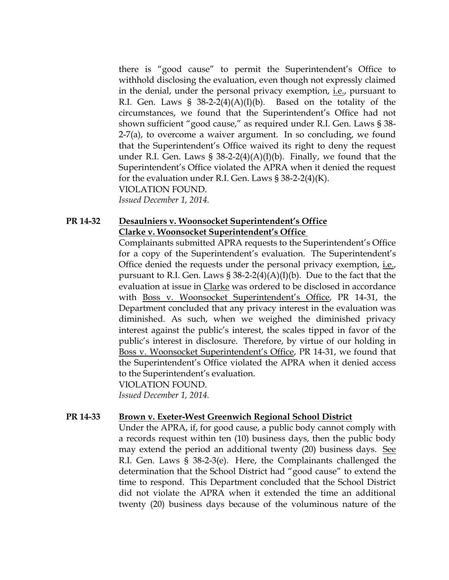there is "good cause" to permit the Superintendent's Office to withhold disclosing the evaluation, even though not expressly claimed in the denial, under the personal privacy exemption, i.e., pursuant to R.I. Gen. Laws §  $38-2-2(4)(A)(I)(b)$ . Based on the totality of the circumstances, we found that the Superintendent's Office had not shown sufficient "good cause," as required under R.I. Gen. Laws § 38- 2-7(a), to overcome a waiver argument. In so concluding, we found that the Superintendent's Office waived its right to deny the request under R.I. Gen. Laws §  $38-2-2(4)(A)(I)(b)$ . Finally, we found that the Superintendent's Office violated the APRA when it denied the request for the evaluation under R.I. Gen. Laws  $\S 38-2-2(4)(K)$ . VIOLATION FOUND.

*Issued December 1, 2014.* 

#### **PR 14-32 Desaulniers v. Woonsocket Superintendent's Office Clarke v. Woonsocket Superintendent's Office**

Complainants submitted APRA requests to the Superintendent's Office for a copy of the Superintendent's evaluation. The Superintendent's Office denied the requests under the personal privacy exemption, i.e., pursuant to R.I. Gen. Laws  $\S 38-2-2(4)(A)(I)(b)$ . Due to the fact that the evaluation at issue in Clarke was ordered to be disclosed in accordance with Boss v. Woonsocket Superintendent's Office, PR 14-31, the Department concluded that any privacy interest in the evaluation was diminished. As such, when we weighed the diminished privacy interest against the public's interest, the scales tipped in favor of the public's interest in disclosure. Therefore, by virtue of our holding in Boss v. Woonsocket Superintendent's Office, PR 14-31, we found that the Superintendent's Office violated the APRA when it denied access to the Superintendent's evaluation. VIOLATION FOUND.

*Issued December 1, 2014.* 

#### **PR 14-33 Brown v. Exeter-West Greenwich Regional School District**

Under the APRA, if, for good cause, a public body cannot comply with a records request within ten (10) business days, then the public body may extend the period an additional twenty (20) business days. See R.I. Gen. Laws § 38-2-3(e). Here, the Complainants challenged the determination that the School District had "good cause" to extend the time to respond. This Department concluded that the School District did not violate the APRA when it extended the time an additional twenty (20) business days because of the voluminous nature of the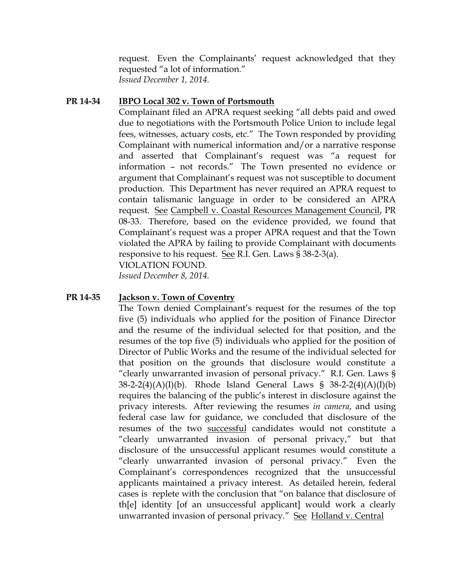request. Even the Complainants' request acknowledged that they requested "a lot of information." *Issued December 1, 2014.*

#### **PR 14-34 IBPO Local 302 v. Town of Portsmouth**

Complainant filed an APRA request seeking "all debts paid and owed due to negotiations with the Portsmouth Police Union to include legal fees, witnesses, actuary costs, etc." The Town responded by providing Complainant with numerical information and/or a narrative response and asserted that Complainant's request was "a request for information – not records." The Town presented no evidence or argument that Complainant's request was not susceptible to document production. This Department has never required an APRA request to contain talismanic language in order to be considered an APRA request. See Campbell v. Coastal Resources Management Council, PR 08-33. Therefore, based on the evidence provided, we found that Complainant's request was a proper APRA request and that the Town violated the APRA by failing to provide Complainant with documents responsive to his request. See R.I. Gen. Laws § 38-2-3(a). VIOLATION FOUND.

*Issued December 8, 2014.*

#### **PR 14-35 Jackson v. Town of Coventry**

The Town denied Complainant's request for the resumes of the top five (5) individuals who applied for the position of Finance Director and the resume of the individual selected for that position, and the resumes of the top five (5) individuals who applied for the position of Director of Public Works and the resume of the individual selected for that position on the grounds that disclosure would constitute a "clearly unwarranted invasion of personal privacy." R.I. Gen. Laws § 38-2-2(4)(A)(I)(b). Rhode Island General Laws § 38-2-2(4)(A)(I)(b) requires the balancing of the public's interest in disclosure against the privacy interests. After reviewing the resumes *in camera*, and using federal case law for guidance, we concluded that disclosure of the resumes of the two successful candidates would not constitute a "clearly unwarranted invasion of personal privacy," but that disclosure of the unsuccessful applicant resumes would constitute a "clearly unwarranted invasion of personal privacy." Even the Complainant's correspondences recognized that the unsuccessful applicants maintained a privacy interest. As detailed herein, federal cases is replete with the conclusion that "on balance that disclosure of th[e] identity [of an unsuccessful applicant] would work a clearly unwarranted invasion of personal privacy." See Holland v. Central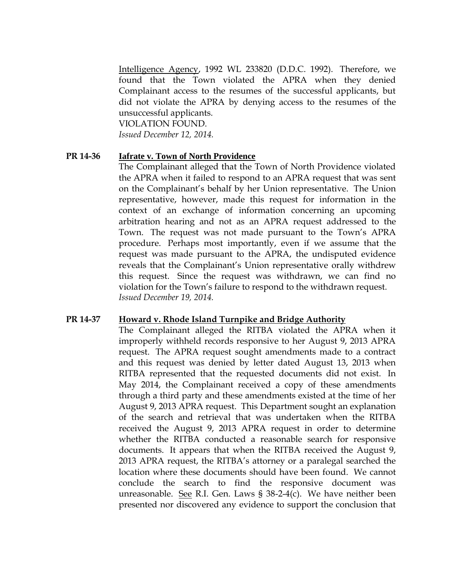Intelligence Agency, 1992 WL 233820 (D.D.C. 1992). Therefore, we found that the Town violated the APRA when they denied Complainant access to the resumes of the successful applicants, but did not violate the APRA by denying access to the resumes of the unsuccessful applicants.

VIOLATION FOUND.

*Issued December 12, 2014.*

#### **PR 14-36 Iafrate v. Town of North Providence**

The Complainant alleged that the Town of North Providence violated the APRA when it failed to respond to an APRA request that was sent on the Complainant's behalf by her Union representative. The Union representative, however, made this request for information in the context of an exchange of information concerning an upcoming arbitration hearing and not as an APRA request addressed to the Town. The request was not made pursuant to the Town's APRA procedure. Perhaps most importantly, even if we assume that the request was made pursuant to the APRA, the undisputed evidence reveals that the Complainant's Union representative orally withdrew this request. Since the request was withdrawn, we can find no violation for the Town's failure to respond to the withdrawn request. *Issued December 19, 2014.*

#### **PR 14-37 Howard v. Rhode Island Turnpike and Bridge Authority**

The Complainant alleged the RITBA violated the APRA when it improperly withheld records responsive to her August 9, 2013 APRA request. The APRA request sought amendments made to a contract and this request was denied by letter dated August 13, 2013 when RITBA represented that the requested documents did not exist. In May 2014, the Complainant received a copy of these amendments through a third party and these amendments existed at the time of her August 9, 2013 APRA request. This Department sought an explanation of the search and retrieval that was undertaken when the RITBA received the August 9, 2013 APRA request in order to determine whether the RITBA conducted a reasonable search for responsive documents. It appears that when the RITBA received the August 9, 2013 APRA request, the RITBA's attorney or a paralegal searched the location where these documents should have been found. We cannot conclude the search to find the responsive document was unreasonable. See R.I. Gen. Laws  $\S$  38-2-4(c). We have neither been presented nor discovered any evidence to support the conclusion that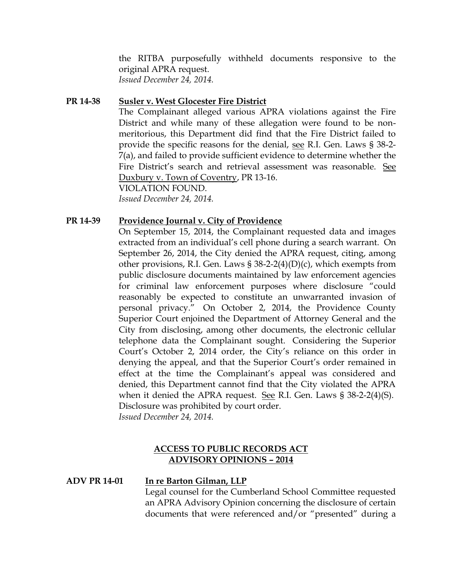the RITBA purposefully withheld documents responsive to the original APRA request. *Issued December 24, 2014.*

#### **PR 14-38 Susler v. West Glocester Fire District**

The Complainant alleged various APRA violations against the Fire District and while many of these allegation were found to be nonmeritorious, this Department did find that the Fire District failed to provide the specific reasons for the denial, see R.I. Gen. Laws § 38-2- 7(a), and failed to provide sufficient evidence to determine whether the Fire District's search and retrieval assessment was reasonable. See Duxbury v. Town of Coventry, PR 13-16.

VIOLATION FOUND. *Issued December 24, 2014.*

#### **PR 14-39 Providence Journal v. City of Providence**

On September 15, 2014, the Complainant requested data and images extracted from an individual's cell phone during a search warrant. On September 26, 2014, the City denied the APRA request, citing, among other provisions, R.I. Gen. Laws § 38-2-2(4)(D)(c), which exempts from public disclosure documents maintained by law enforcement agencies for criminal law enforcement purposes where disclosure "could reasonably be expected to constitute an unwarranted invasion of personal privacy." On October 2, 2014, the Providence County Superior Court enjoined the Department of Attorney General and the City from disclosing, among other documents, the electronic cellular telephone data the Complainant sought. Considering the Superior Court's October 2, 2014 order, the City's reliance on this order in denying the appeal, and that the Superior Court's order remained in effect at the time the Complainant's appeal was considered and denied, this Department cannot find that the City violated the APRA when it denied the APRA request. See R.I. Gen. Laws § 38-2-2(4)(S). Disclosure was prohibited by court order. *Issued December 24, 2014.*

#### **ACCESS TO PUBLIC RECORDS ACT ADVISORY OPINIONS – 2014**

#### **ADV PR 14-01 In re Barton Gilman, LLP**

Legal counsel for the Cumberland School Committee requested an APRA Advisory Opinion concerning the disclosure of certain documents that were referenced and/or "presented" during a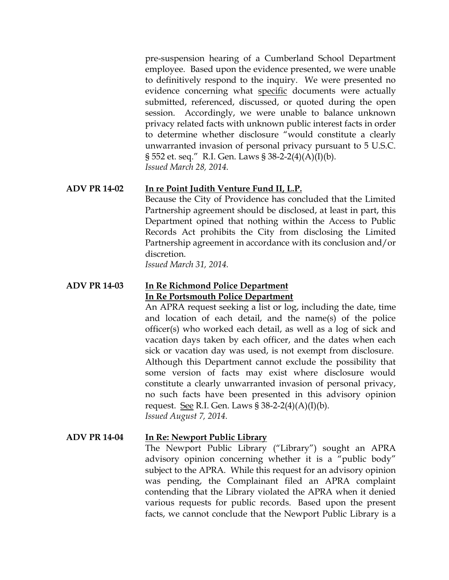pre-suspension hearing of a Cumberland School Department employee. Based upon the evidence presented, we were unable to definitively respond to the inquiry. We were presented no evidence concerning what specific documents were actually submitted, referenced, discussed, or quoted during the open session. Accordingly, we were unable to balance unknown privacy related facts with unknown public interest facts in order to determine whether disclosure "would constitute a clearly unwarranted invasion of personal privacy pursuant to 5 U.S.C. § 552 et. seq." R.I. Gen. Laws § 38-2-2(4)(A)(I)(b). *Issued March 28, 2014.*

#### **ADV PR 14-02 In re Point Judith Venture Fund II, L.P.**

Because the City of Providence has concluded that the Limited Partnership agreement should be disclosed, at least in part, this Department opined that nothing within the Access to Public Records Act prohibits the City from disclosing the Limited Partnership agreement in accordance with its conclusion and/or discretion.

*Issued March 31, 2014.*

#### **ADV PR 14-03 In Re Richmond Police Department In Re Portsmouth Police Department**

An APRA request seeking a list or log, including the date, time and location of each detail, and the name(s) of the police officer(s) who worked each detail, as well as a log of sick and vacation days taken by each officer, and the dates when each sick or vacation day was used, is not exempt from disclosure. Although this Department cannot exclude the possibility that some version of facts may exist where disclosure would constitute a clearly unwarranted invasion of personal privacy, no such facts have been presented in this advisory opinion request. <u>See</u> R.I. Gen. Laws  $\S 38-2-2(4)(A)(I)(b)$ . *Issued August 7, 2014.*

#### **ADV PR 14-04 In Re: Newport Public Library**

The Newport Public Library ("Library") sought an APRA advisory opinion concerning whether it is a "public body" subject to the APRA. While this request for an advisory opinion was pending, the Complainant filed an APRA complaint contending that the Library violated the APRA when it denied various requests for public records. Based upon the present facts, we cannot conclude that the Newport Public Library is a